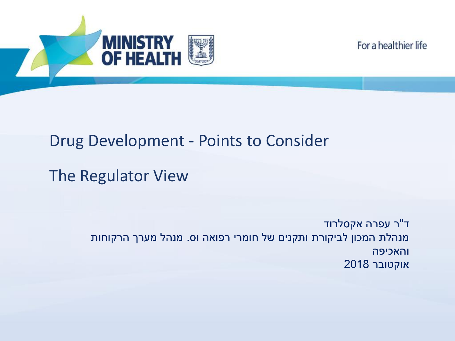For a healthier life



### Drug Development - Points to Consider

The Regulator View

ד"ר עפרה אקסלרוד מנהלת המכון לביקורת ותקנים של חומרי רפואה וס. מנהל מערך הרקוחות והאכיפה אוקטובר 2018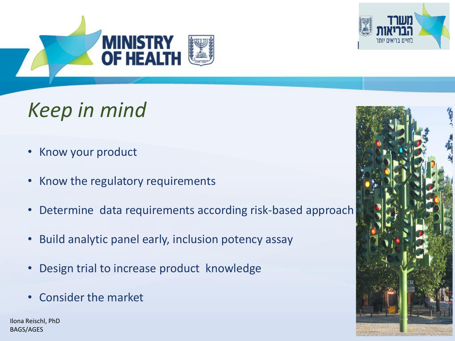



# *Keep in mind*

- Know your product
- Know the regulatory requirements
- Determine data requirements according risk-based approach
- Build analytic panel early, inclusion potency assay
- Design trial to increase product knowledge
- Consider the market

Ilona Reischl, PhD BAGS/AGES

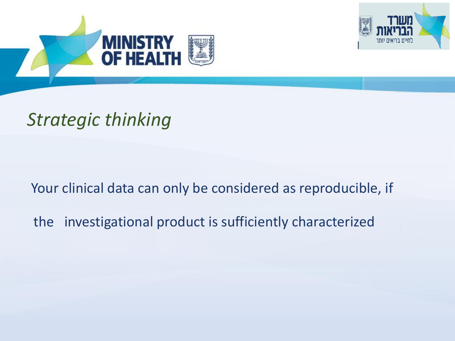



# *Strategic thinking*

Your clinical data can only be considered as reproducible, if

the investigational product is sufficiently characterized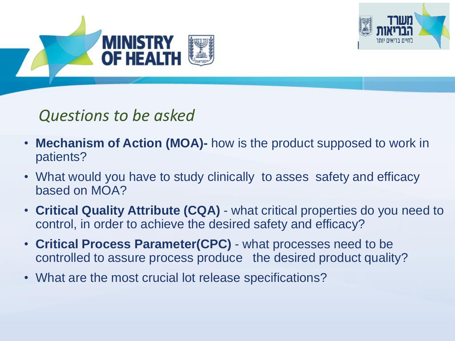



### *Questions to be asked*

- **Mechanism of Action (MOA)-** how is the product supposed to work in patients?
- What would you have to study clinically to asses safety and efficacy based on MOA?
- **Critical Quality Attribute (CQA)**  what critical properties do you need to control, in order to achieve the desired safety and efficacy?
- **Critical Process Parameter(CPC)**  what processes need to be controlled to assure process produce the desired product quality?
- What are the most crucial lot release specifications?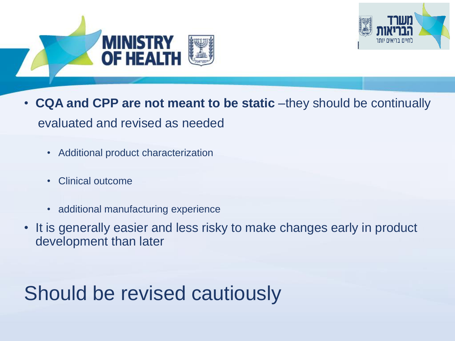



- **CQA and CPP are not meant to be static** –they should be continually evaluated and revised as needed
	- Additional product characterization
	- Clinical outcome
	- additional manufacturing experience
- It is generally easier and less risky to make changes early in product development than later

# Should be revised cautiously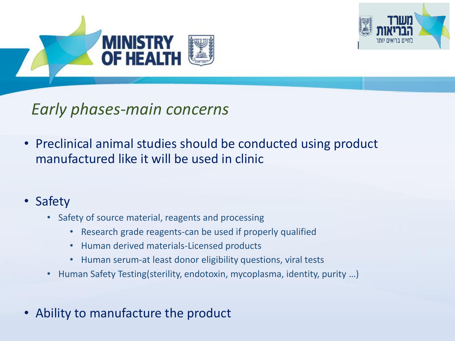



### *Early phases-main concerns*

• Preclinical animal studies should be conducted using product manufactured like it will be used in clinic

### • Safety

- Safety of source material, reagents and processing
	- Research grade reagents-can be used if properly qualified
	- Human derived materials-Licensed products
	- Human serum-at least donor eligibility questions, viral tests
- Human Safety Testing(sterility, endotoxin, mycoplasma, identity, purity …)
- Ability to manufacture the product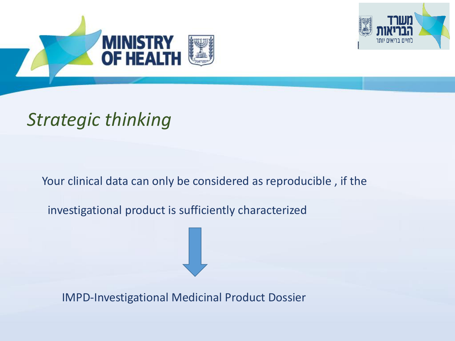



# *Strategic thinking*

Your clinical data can only be considered as reproducible, if the

investigational product is sufficiently characterized

IMPD-Investigational Medicinal Product Dossier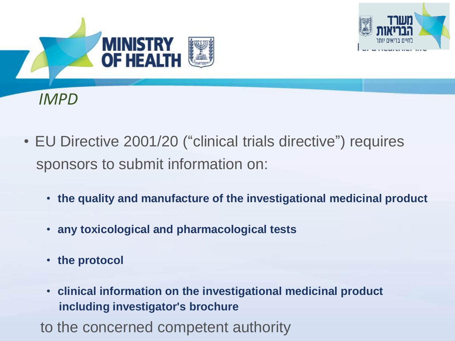





- EU Directive 2001/20 ("clinical trials directive") requires sponsors to submit information on:
	- **the quality and manufacture of the investigational medicinal product**
	- **any toxicological and pharmacological tests**
	- **the protocol**
	- **clinical information on the investigational medicinal product including investigator's brochure**

to the concerned competent authority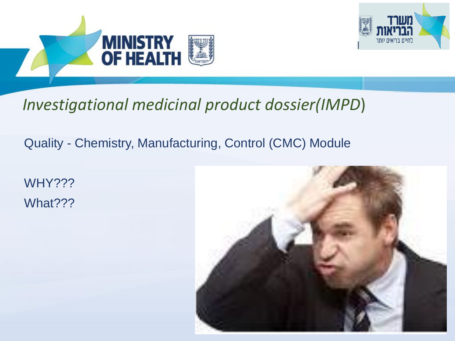



### *Investigational medicinal product dossier(IMPD*)

### Quality - Chemistry, Manufacturing, Control (CMC) Module

WHY??? What???

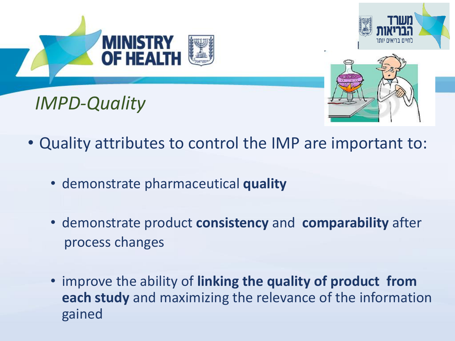

- Quality attributes to control the IMP are important to:
	- demonstrate pharmaceutical **quality**
	- demonstrate product **consistency** and **comparability** after process changes
	- improve the ability of **linking the quality of product from each study** and maximizing the relevance of the information gained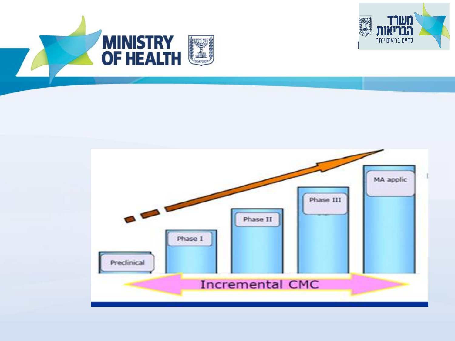



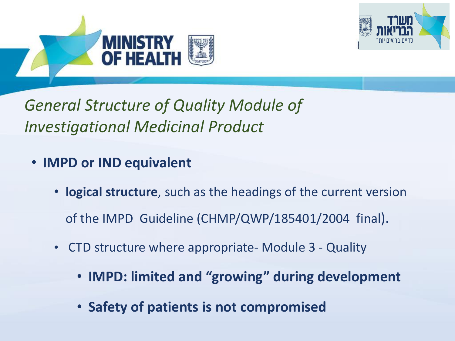



*General Structure of Quality Module of Investigational Medicinal Product* 

- **IMPD or IND equivalent**
	- **logical structure**, such as the headings of the current version of the IMPD Guideline (CHMP/QWP/185401/2004 final).
	- CTD structure where appropriate- Module 3 Quality
		- **IMPD: limited and "growing" during development**
		- **Safety of patients is not compromised**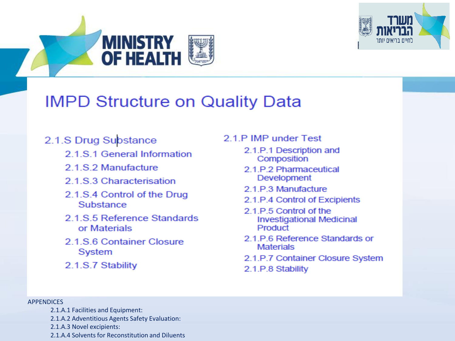



### **IMPD Structure on Quality Data**

#### 2.1.S Drug Substance

- 2 1 S 1 General Information
- 2.1.S.2 Manufacture
- 2 1 S 3 Characterisation
- 2.1.S.4 Control of the Drug Substance
- 2.1.S.5 Reference Standards or Materials
- 2.1 S.6 Container Closure System
- 2.1.S.7 Stability

#### 2.1.P IMP under Test

- 2.1.P.1 Description and Composition
- 2.1.P.2 Pharmaceutical Development
- 2.1 P.3 Manufacture
- 2.1.P.4 Control of Excipients
- 2.1.P.5 Control of the **Investigational Medicinal** Product
- 2.1 P.6 Reference Standards or **Materials**
- 2.1.P.7 Container Closure System
- 2.1.P.8 Stability

#### APPENDICES

- 2.1.A.1 Facilities and Equipment:
- 2.1.A.2 Adventitious Agents Safety Evaluation:
- 2.1.A.3 Novel excipients:
- 2.1.A.4 Solvents for Reconstitution and Diluents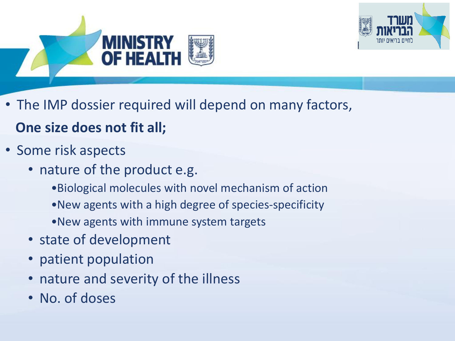



• The IMP dossier required will depend on many factors,

### **One size does not fit all;**

- Some risk aspects
	- nature of the product e.g.
		- •Biological molecules with novel mechanism of action
		- •New agents with a high degree of species-specificity
		- •New agents with immune system targets
	- state of development
	- patient population
	- nature and severity of the illness
	- No. of doses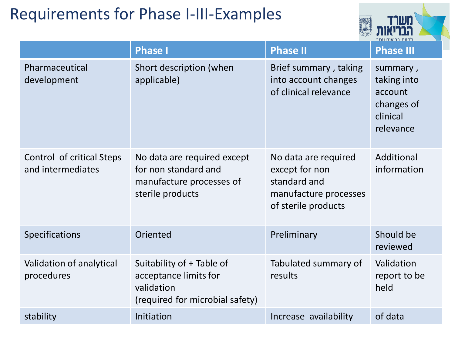### Requirements for Phase I-III-Examples



|                                                | <b>Phase I</b>                                                                                      | <b>Phase II</b>                                                                                        | <b>Phase III</b>                                                          |
|------------------------------------------------|-----------------------------------------------------------------------------------------------------|--------------------------------------------------------------------------------------------------------|---------------------------------------------------------------------------|
| Pharmaceutical<br>development                  | Short description (when<br>applicable)                                                              | Brief summary, taking<br>into account changes<br>of clinical relevance                                 | summary,<br>taking into<br>account<br>changes of<br>clinical<br>relevance |
| Control of critical Steps<br>and intermediates | No data are required except<br>for non standard and<br>manufacture processes of<br>sterile products | No data are required<br>except for non<br>standard and<br>manufacture processes<br>of sterile products | Additional<br>information                                                 |
| Specifications                                 | Oriented                                                                                            | Preliminary                                                                                            | Should be<br>reviewed                                                     |
| Validation of analytical<br>procedures         | Suitability of + Table of<br>acceptance limits for<br>validation<br>(required for microbial safety) | Tabulated summary of<br>results                                                                        | Validation<br>report to be<br>held                                        |
| stability                                      | Initiation                                                                                          | Increase availability                                                                                  | of data                                                                   |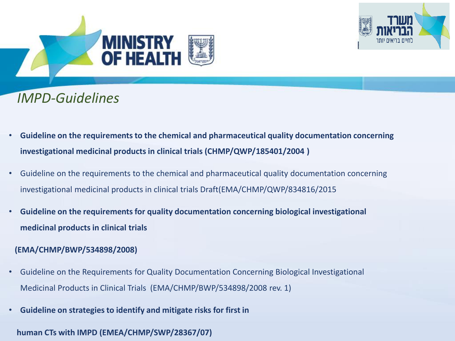



### *IMPD-Guidelines*

- **Guideline on the requirements to the chemical and pharmaceutical quality documentation concerning investigational medicinal products in clinical trials (CHMP/QWP/185401/2004 )**
- Guideline on the requirements to the chemical and pharmaceutical quality documentation concerning investigational medicinal products in clinical trials Draft(EMA/CHMP/QWP/834816/2015
- **Guideline on the requirements for quality documentation concerning biological investigational medicinal products in clinical trials**

#### **(EMA/CHMP/BWP/534898/2008)**

- Guideline on the Requirements for Quality Documentation Concerning Biological Investigational Medicinal Products in Clinical Trials (EMA/CHMP/BWP/534898/2008 rev. 1)
- **Guideline on strategies to identify and mitigate risks for first in**

#### **human CTs with IMPD (EMEA/CHMP/SWP/28367/07)**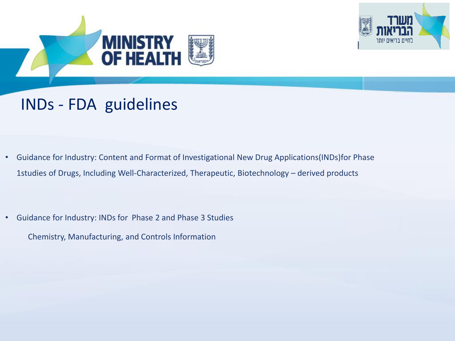



### INDs - FDA guidelines

• Guidance for Industry: Content and Format of Investigational New Drug Applications(INDs)for Phase 1studies of Drugs, Including Well-Characterized, Therapeutic, Biotechnology – derived products

• Guidance for Industry: INDs for Phase 2 and Phase 3 Studies Chemistry, Manufacturing, and Controls Information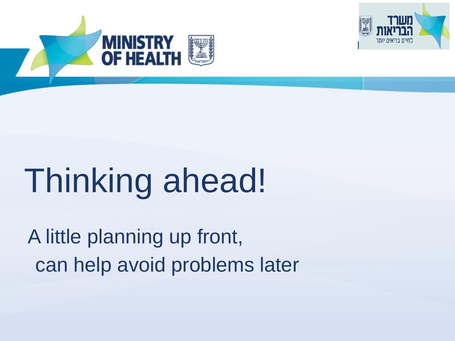



# Thinking ahead!

A little planning up front, can help avoid problems later